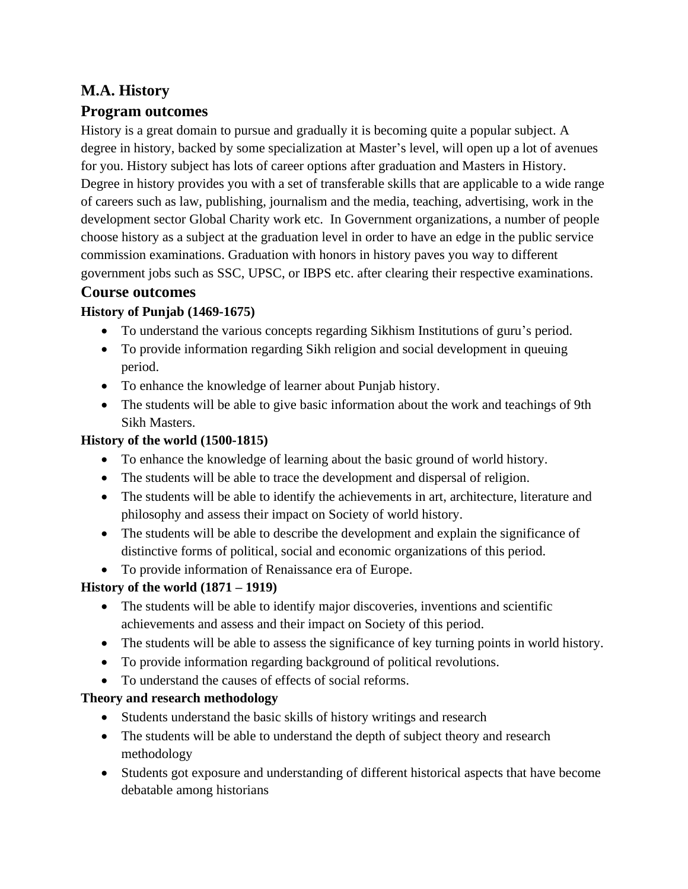# **M.A. History**

### **Program outcomes**

History is a great domain to pursue and gradually it is becoming quite a popular subject. A degree in history, backed by some specialization at Master's level, will open up a lot of avenues for you. History subject has lots of career options after graduation and Masters in History. Degree in history provides you with a set of transferable skills that are applicable to a wide range of careers such as law, publishing, journalism and the media, teaching, advertising, work in the development sector Global Charity work etc. In Government organizations, a number of people choose history as a subject at the graduation level in order to have an edge in the public service commission examinations. Graduation with honors in history paves you way to different government jobs such as SSC, UPSC, or IBPS etc. after clearing their respective examinations.

### **Course outcomes**

#### **History of Punjab (1469-1675)**

- To understand the various concepts regarding Sikhism Institutions of guru's period.
- To provide information regarding Sikh religion and social development in queuing period.
- To enhance the knowledge of learner about Punjab history.
- The students will be able to give basic information about the work and teachings of 9th Sikh Masters.

#### **History of the world (1500-1815)**

- To enhance the knowledge of learning about the basic ground of world history.
- The students will be able to trace the development and dispersal of religion.
- The students will be able to identify the achievements in art, architecture, literature and philosophy and assess their impact on Society of world history.
- The students will be able to describe the development and explain the significance of distinctive forms of political, social and economic organizations of this period.
- To provide information of Renaissance era of Europe.

### **History of the world (1871 – 1919)**

- The students will be able to identify major discoveries, inventions and scientific achievements and assess and their impact on Society of this period.
- The students will be able to assess the significance of key turning points in world history.
- To provide information regarding background of political revolutions.
- To understand the causes of effects of social reforms.

### **Theory and research methodology**

- Students understand the basic skills of history writings and research
- The students will be able to understand the depth of subject theory and research methodology
- Students got exposure and understanding of different historical aspects that have become debatable among historians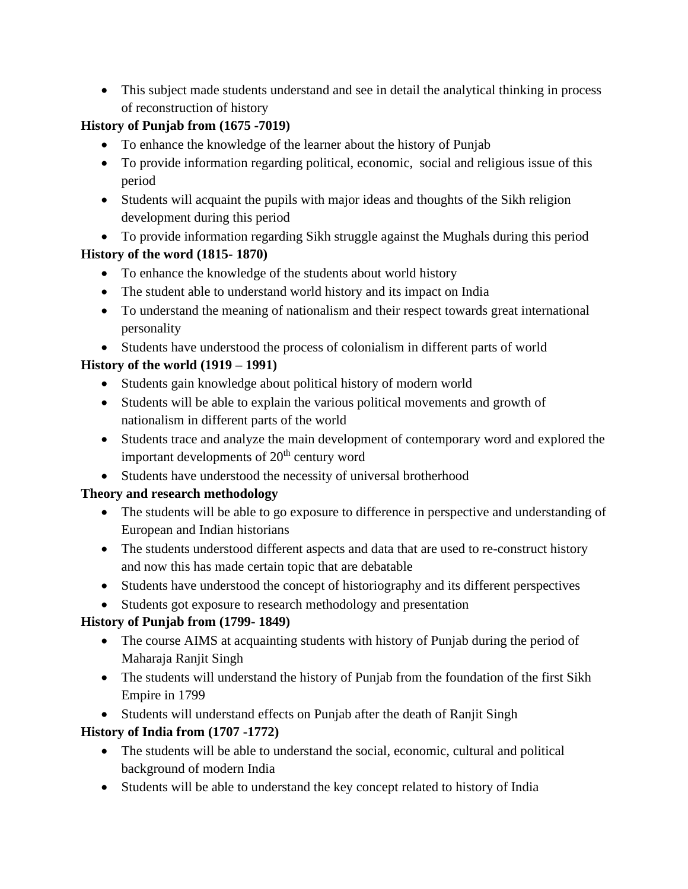• This subject made students understand and see in detail the analytical thinking in process of reconstruction of history

### **History of Punjab from (1675 -7019)**

- To enhance the knowledge of the learner about the history of Punjab
- To provide information regarding political, economic, social and religious issue of this period
- Students will acquaint the pupils with major ideas and thoughts of the Sikh religion development during this period
- To provide information regarding Sikh struggle against the Mughals during this period

# **History of the word (1815- 1870)**

- To enhance the knowledge of the students about world history
- The student able to understand world history and its impact on India
- To understand the meaning of nationalism and their respect towards great international personality
- Students have understood the process of colonialism in different parts of world

# **History of the world (1919 – 1991)**

- Students gain knowledge about political history of modern world
- Students will be able to explain the various political movements and growth of nationalism in different parts of the world
- Students trace and analyze the main development of contemporary word and explored the important developments of 20<sup>th</sup> century word
- Students have understood the necessity of universal brotherhood

### **Theory and research methodology**

- The students will be able to go exposure to difference in perspective and understanding of European and Indian historians
- The students understood different aspects and data that are used to re-construct history and now this has made certain topic that are debatable
- Students have understood the concept of historiography and its different perspectives
- Students got exposure to research methodology and presentation

### **History of Punjab from (1799- 1849)**

- The course AIMS at acquainting students with history of Punjab during the period of Maharaja Ranjit Singh
- The students will understand the history of Punjab from the foundation of the first Sikh Empire in 1799
- Students will understand effects on Punjab after the death of Ranjit Singh

### **History of India from (1707 -1772)**

- The students will be able to understand the social, economic, cultural and political background of modern India
- Students will be able to understand the key concept related to history of India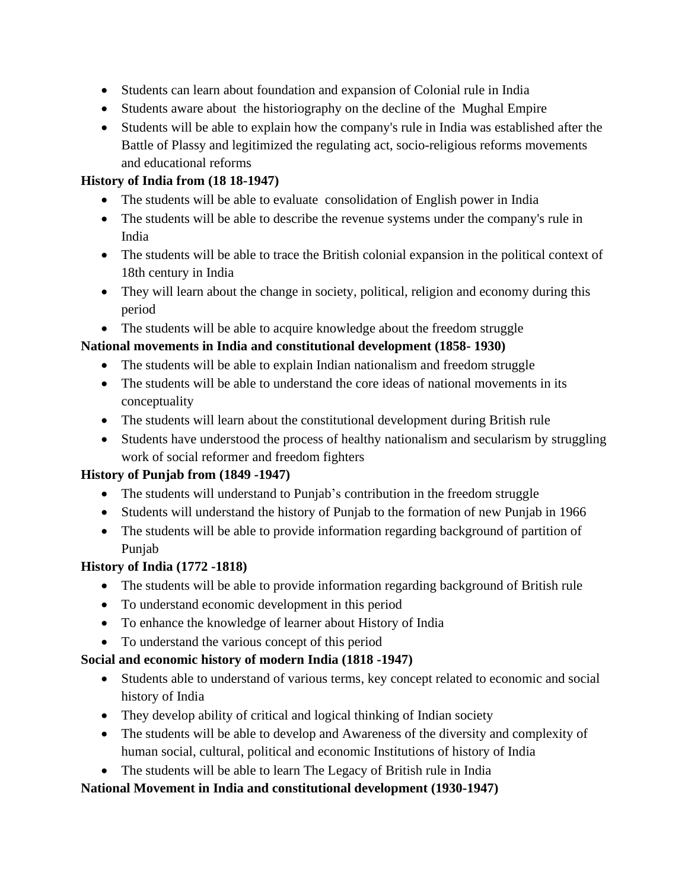- Students can learn about foundation and expansion of Colonial rule in India
- Students aware about the historiography on the decline of the Mughal Empire
- Students will be able to explain how the company's rule in India was established after the Battle of Plassy and legitimized the regulating act, socio-religious reforms movements and educational reforms

#### **History of India from (18 18-1947)**

- The students will be able to evaluate consolidation of English power in India
- The students will be able to describe the revenue systems under the company's rule in India
- The students will be able to trace the British colonial expansion in the political context of 18th century in India
- They will learn about the change in society, political, religion and economy during this period
- The students will be able to acquire knowledge about the freedom struggle

#### **National movements in India and constitutional development (1858- 1930)**

- The students will be able to explain Indian nationalism and freedom struggle
- The students will be able to understand the core ideas of national movements in its conceptuality
- The students will learn about the constitutional development during British rule
- Students have understood the process of healthy nationalism and secularism by struggling work of social reformer and freedom fighters

#### **History of Punjab from (1849 -1947)**

- The students will understand to Punjab's contribution in the freedom struggle
- Students will understand the history of Punjab to the formation of new Punjab in 1966
- The students will be able to provide information regarding background of partition of Punjab

### **History of India (1772 -1818)**

- The students will be able to provide information regarding background of British rule
- To understand economic development in this period
- To enhance the knowledge of learner about History of India
- To understand the various concept of this period

### **Social and economic history of modern India (1818 -1947)**

- Students able to understand of various terms, key concept related to economic and social history of India
- They develop ability of critical and logical thinking of Indian society
- The students will be able to develop and Awareness of the diversity and complexity of human social, cultural, political and economic Institutions of history of India
- The students will be able to learn The Legacy of British rule in India

### **National Movement in India and constitutional development (1930-1947)**